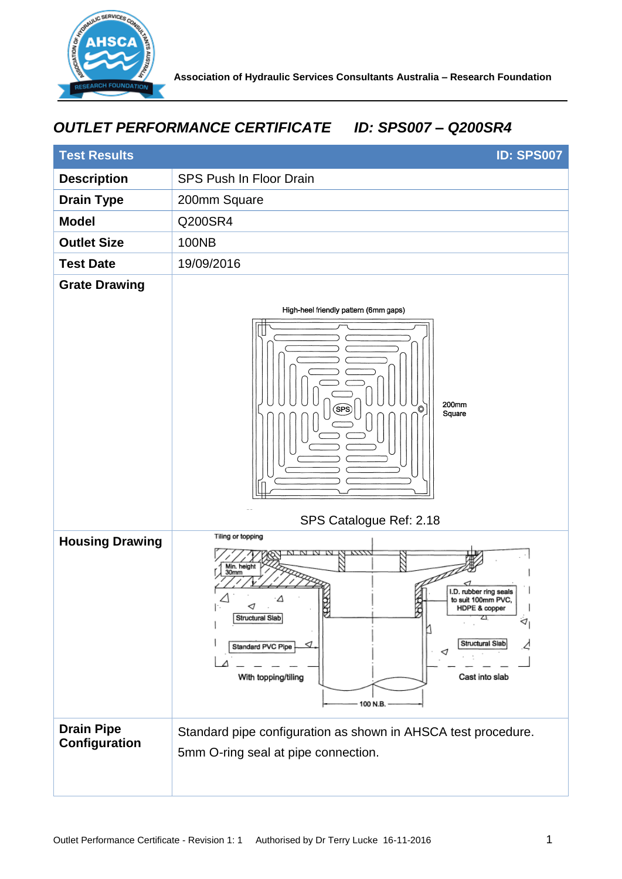

## *OUTLET PERFORMANCE CERTIFICATE ID: SPS007 – Q200SR4*

| <b>Test Results</b><br><b>ID: SPS007</b> |                                                                                                                                                                                                                                               |
|------------------------------------------|-----------------------------------------------------------------------------------------------------------------------------------------------------------------------------------------------------------------------------------------------|
| <b>Description</b>                       | <b>SPS Push In Floor Drain</b>                                                                                                                                                                                                                |
| <b>Drain Type</b>                        | 200mm Square                                                                                                                                                                                                                                  |
| <b>Model</b>                             | Q200SR4                                                                                                                                                                                                                                       |
| <b>Outlet Size</b>                       | <b>100NB</b>                                                                                                                                                                                                                                  |
| <b>Test Date</b>                         | 19/09/2016                                                                                                                                                                                                                                    |
| <b>Grate Drawing</b>                     |                                                                                                                                                                                                                                               |
|                                          | High-heel friendly pattern (6mm gaps)<br>200mm<br><b>SPS</b><br>Square<br>SPS Catalogue Ref: 2.18                                                                                                                                             |
| <b>Housing Drawing</b>                   | Tiling or topping<br>Min. height<br>30mm<br>I.D. rubber ring seals<br>to suit 100mm PVC,<br>HDPE & copper<br>B<br>Structural Slab<br>⊲<br>Structural Slab<br>⊲<br>Standard PVC Pipe<br>⊲<br>Cast into slab<br>With topping/tiling<br>100 N.B. |
| <b>Drain Pipe</b><br>Configuration       | Standard pipe configuration as shown in AHSCA test procedure.<br>5mm O-ring seal at pipe connection.                                                                                                                                          |